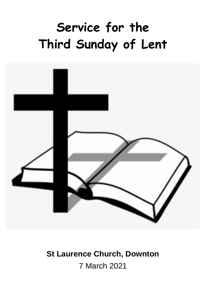# **Service for the Third Sunday of Lent**



## **St Laurence Church, Downton**

7 March 2021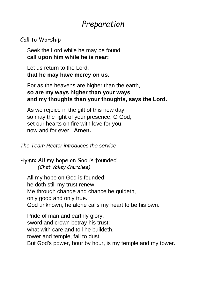## *Preparation*

#### Call to Worship

Seek the Lord while he may be found, **call upon him while he is near;**

Let us return to the Lord, **that he may have mercy on us.**

For as the heavens are higher than the earth, **so are my ways higher than your ways and my thoughts than your thoughts, says the Lord.**

As we rejoice in the gift of this new day, so may the light of your presence, O God, set our hearts on fire with love for you; now and for ever. **Amen.**

*The Team Rector introduces the service*

Hymn: All my hope on God is founded *(Chet Valley Churches)*

All my hope on God is founded; he doth still my trust renew. Me through change and chance he guideth, only good and only true. God unknown, he alone calls my heart to be his own.

Pride of man and earthly glory, sword and crown betray his trust; what with care and toil he buildeth, tower and temple, fall to dust. But God's power, hour by hour, is my temple and my tower.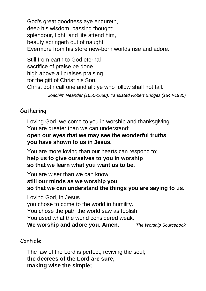God's great goodness aye endureth, deep his wisdom, passing thought: splendour, light, and life attend him. beauty springeth out of naught. Evermore from his store new-born worlds rise and adore.

Still from earth to God eternal sacrifice of praise be done, high above all praises praising for the gift of Christ his Son. Christ doth call one and all: ye who follow shall not fall.

*Joachim Neander (1650-1680), translated Robert Bridges (1844-1930)*

#### Gathering:

Loving God, we come to you in worship and thanksgiving. You are greater than we can understand; **open our eyes that we may see the wonderful truths you have shown to us in Jesus.**

You are more loving than our hearts can respond to; **help us to give ourselves to you in worship so that we learn what you want us to be.**

You are wiser than we can know;

**still our minds as we worship you so that we can understand the things you are saying to us.**

Loving God, in Jesus you chose to come to the world in humility. You chose the path the world saw as foolish. You used what the world considered weak. **We worship and adore you. Amen.** *The Worship Sourcebook*

#### Canticle:

The law of the Lord is perfect, reviving the soul; **the decrees of the Lord are sure, making wise the simple;**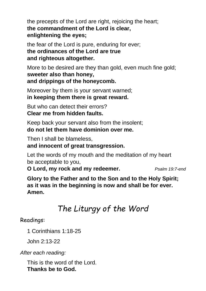the precepts of the Lord are right, rejoicing the heart; **the commandment of the Lord is clear, enlightening the eyes;**

the fear of the Lord is pure, enduring for ever; **the ordinances of the Lord are true and righteous altogether.**

More to be desired are they than gold, even much fine gold; **sweeter also than honey, and drippings of the honeycomb.**

Moreover by them is your servant warned; **in keeping them there is great reward.**

But who can detect their errors? **Clear me from hidden faults.**

Keep back your servant also from the insolent; **do not let them have dominion over me.**

Then I shall be blameless,

#### **and innocent of great transgression.**

Let the words of my mouth and the meditation of my heart be acceptable to you,

**O Lord, my rock and my redeemer.** *Psalm 19:7-end*

**Glory to the Father and to the Son and to the Holy Spirit; as it was in the beginning is now and shall be for ever. Amen.**

## *The Liturgy of the Word*

Readings:

1 Corinthians 1:18-25

John 2:13-22

*After each reading:*

This is the word of the Lord. **Thanks be to God.**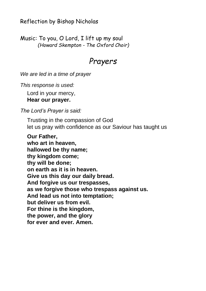Reflection by Bishop Nicholas

Music: To you, O Lord, I lift up my soul *(Howard Skempton - The Oxford Choir)*

#### *Prayers*

*We are led in a time of prayer*

*This response is used:*

Lord in your mercy, **Hear our prayer.**

*The Lord's Prayer is said:*

Trusting in the compassion of God let us pray with confidence as our Saviour has taught us

**Our Father, who art in heaven, hallowed be thy name; thy kingdom come; thy will be done; on earth as it is in heaven. Give us this day our daily bread. And forgive us our trespasses, as we forgive those who trespass against us. And lead us not into temptation; but deliver us from evil. For thine is the kingdom, the power, and the glory for ever and ever. Amen.**